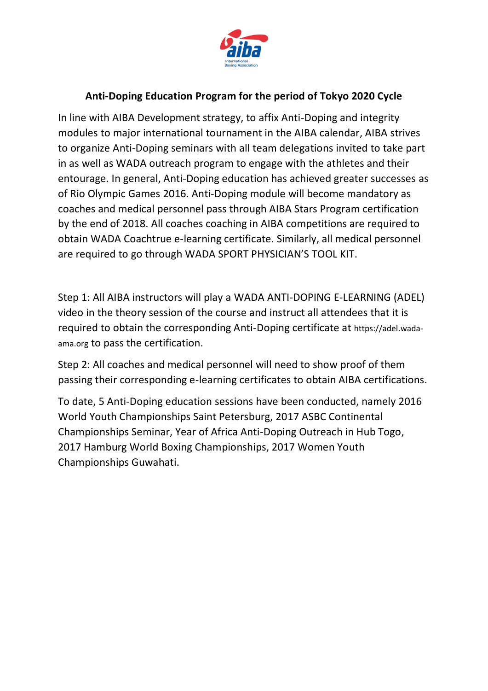

# **Anti-Doping Education Program for the period of Tokyo 2020 Cycle**

In line with AIBA Development strategy, to affix Anti-Doping and integrity modules to major international tournament in the AIBA calendar, AIBA strives to organize Anti-Doping seminars with all team delegations invited to take part in as well as WADA outreach program to engage with the athletes and their entourage. In general, Anti-Doping education has achieved greater successes as of Rio Olympic Games 2016. Anti-Doping module will become mandatory as coaches and medical personnel pass through AIBA Stars Program certification by the end of 2018. All coaches coaching in AIBA competitions are required to obtain WADA Coachtrue e-learning certificate. Similarly, all medical personnel are required to go through WADA SPORT PHYSICIAN'S TOOL KIT.

Step 1: All AIBA instructors will play a WADA ANTI-DOPING E-LEARNING (ADEL) video in the theory session of the course and instruct all attendees that it is required to obtain the corresponding Anti-Doping certificate at [https://adel.wada](https://adel.wada-ama.org/)[ama.org](https://adel.wada-ama.org/) to pass the certification.

Step 2: All coaches and medical personnel will need to show proof of them passing their corresponding e-learning certificates to obtain AIBA certifications.

To date, 5 Anti-Doping education sessions have been conducted, namely 2016 World Youth Championships Saint Petersburg, 2017 ASBC Continental Championships Seminar, Year of Africa Anti-Doping Outreach in Hub Togo, 2017 Hamburg World Boxing Championships, 2017 Women Youth Championships Guwahati.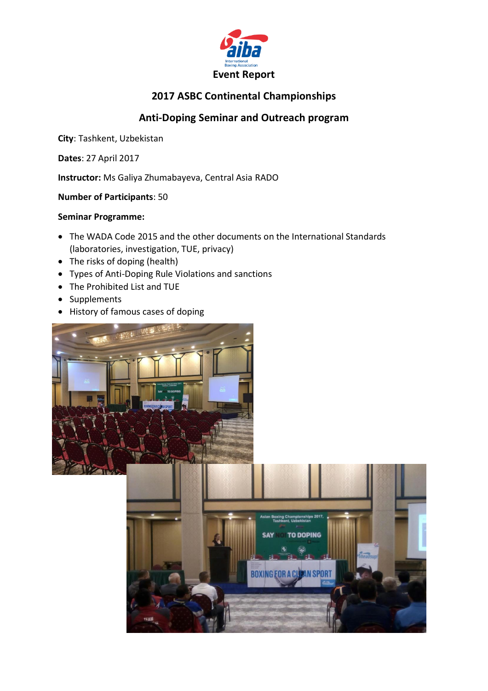

## **2017 ASBC Continental Championships**

## **Anti-Doping Seminar and Outreach program**

**City**: Tashkent, Uzbekistan

**Dates**: 27 April 2017

**Instructor:** Ms Galiya Zhumabayeva, Central Asia RADO

### **Number of Participants**: 50

### **Seminar Programme:**

- The WADA Code 2015 and the other documents on the International Standards (laboratories, investigation, TUE, privacy)
- The risks of doping (health)
- Types of Anti-Doping Rule Violations and sanctions
- The Prohibited List and TUE
- Supplements
- History of famous cases of doping

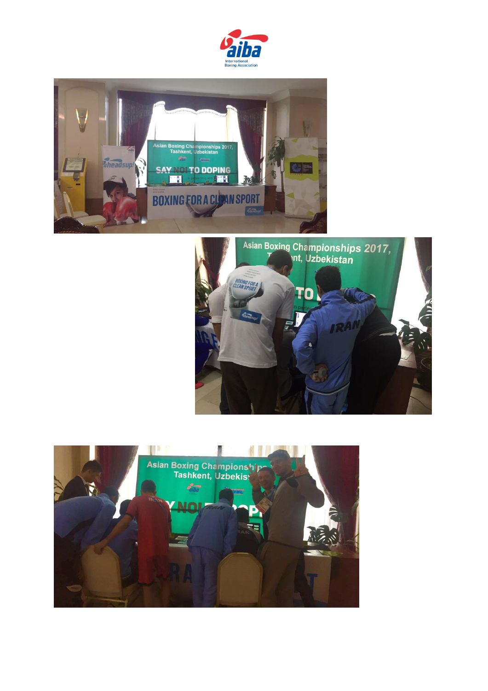